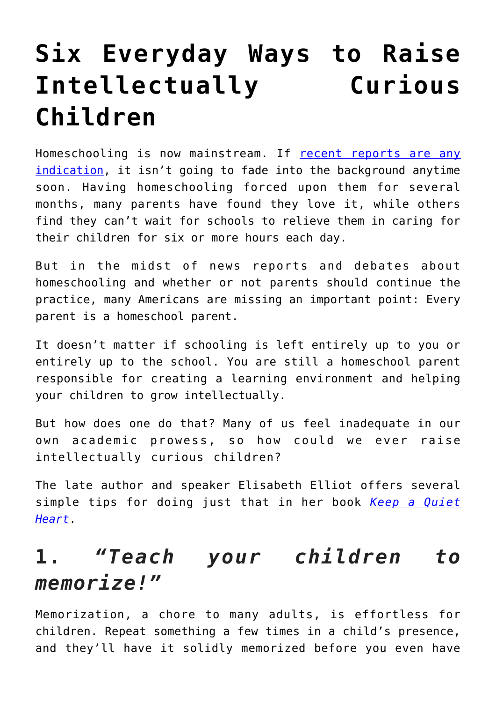# **[Six Everyday Ways to Raise](https://intellectualtakeout.org/2020/07/six-everyday-ways-to-raise-intellectually-curious-children/) [Intellectually Curious](https://intellectualtakeout.org/2020/07/six-everyday-ways-to-raise-intellectually-curious-children/) [Children](https://intellectualtakeout.org/2020/07/six-everyday-ways-to-raise-intellectually-curious-children/)**

Homeschooling is now mainstream. If [recent reports are any](https://www.intellectualtakeout.org/back-to-school-no-thanks-say-millions-of-new-homeschoolers/) [indication,](https://www.intellectualtakeout.org/back-to-school-no-thanks-say-millions-of-new-homeschoolers/) it isn't going to fade into the background anytime soon. Having homeschooling forced upon them for several months, many parents have found they love it, while others find they can't wait for schools to relieve them in caring for their children for six or more hours each day.

But in the midst of news reports and debates about homeschooling and whether or not parents should continue the practice, many Americans are missing an important point: Every parent is a homeschool parent.

It doesn't matter if schooling is left entirely up to you or entirely up to the school. You are still a homeschool parent responsible for creating a learning environment and helping your children to grow intellectually.

But how does one do that? Many of us feel inadequate in our own academic prowess, so how could we ever raise intellectually curious children?

The late author and speaker Elisabeth Elliot offers several simple tips for doing just that in her book *[Keep a Quiet](https://www.amazon.com/gp/product/0800759907/ref=as_li_qf_asin_il_tl?ie=UTF8&tag=intelltakeo0d-20&creative=9325&linkCode=as2&creativeASIN=0800759907&linkId=480643241e081eb09b37f202db87a962) [Heart](https://www.amazon.com/gp/product/0800759907/ref=as_li_qf_asin_il_tl?ie=UTF8&tag=intelltakeo0d-20&creative=9325&linkCode=as2&creativeASIN=0800759907&linkId=480643241e081eb09b37f202db87a962)*.

#### **1.** *"Teach your children to memorize!"*

Memorization, a chore to many adults, is effortless for children. Repeat something a few times in a child's presence, and they'll have it solidly memorized before you even have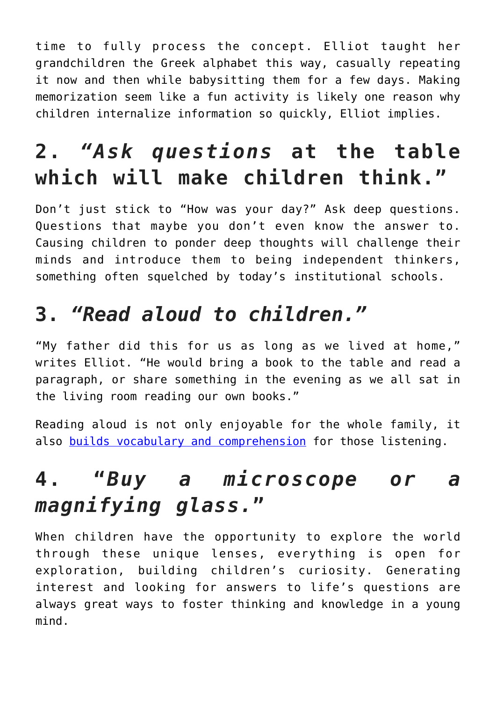time to fully process the concept. Elliot taught her grandchildren the Greek alphabet this way, casually repeating it now and then while babysitting them for a few days. Making memorization seem like a fun activity is likely one reason why children internalize information so quickly, Elliot implies.

## **2.** *"Ask questions* **at the table which will make children think."**

Don't just stick to "How was your day?" Ask deep questions. Questions that maybe you don't even know the answer to. Causing children to ponder deep thoughts will challenge their minds and introduce them to being independent thinkers, something often squelched by today's institutional schools.

#### **3.** *"Read aloud to children."*

"My father did this for us as long as we lived at home," writes Elliot. "He would bring a book to the table and read a paragraph, or share something in the evening as we all sat in the living room reading our own books."

Reading aloud is not only enjoyable for the whole family, it also [builds vocabulary and comprehension](https://www.intellectualtakeout.org/blog/what-families-are-missing-not-reading-aloud/) for those listening.

### **4. "***Buy a microscope or a magnifying glass.***"**

When children have the opportunity to explore the world through these unique lenses, everything is open for exploration, building children's curiosity. Generating interest and looking for answers to life's questions are always great ways to foster thinking and knowledge in a young mind.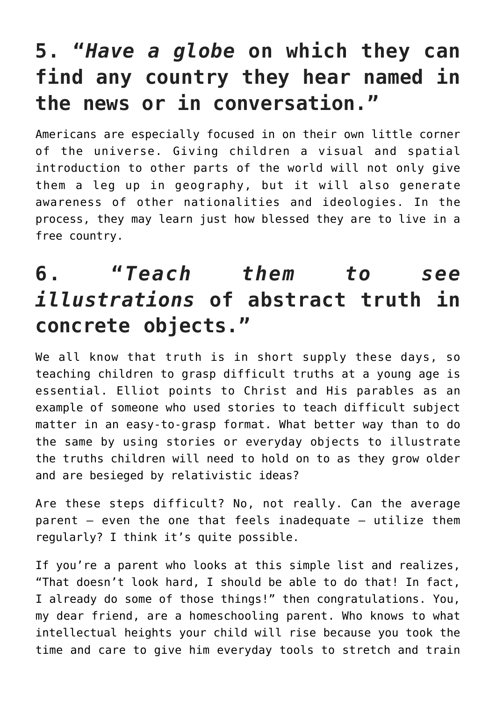#### **5. "***Have a globe* **on which they can find any country they hear named in the news or in conversation."**

Americans are especially focused in on their own little corner of the universe. Giving children a visual and spatial introduction to other parts of the world will not only give them a leg up in geography, but it will also generate awareness of other nationalities and ideologies. In the process, they may learn just how blessed they are to live in a free country.

#### **6. "***Teach them to see illustrations* **of abstract truth in concrete objects."**

We all know that truth is in short supply these days, so teaching children to grasp difficult truths at a young age is essential. Elliot points to Christ and His parables as an example of someone who used stories to teach difficult subject matter in an easy-to-grasp format. What better way than to do the same by using stories or everyday objects to illustrate the truths children will need to hold on to as they grow older and are besieged by relativistic ideas?

Are these steps difficult? No, not really. Can the average parent – even the one that feels inadequate – utilize them regularly? I think it's quite possible.

If you're a parent who looks at this simple list and realizes, "That doesn't look hard, I should be able to do that! In fact, I already do some of those things!" then congratulations. You, my dear friend, are a homeschooling parent. Who knows to what intellectual heights your child will rise because you took the time and care to give him everyday tools to stretch and train